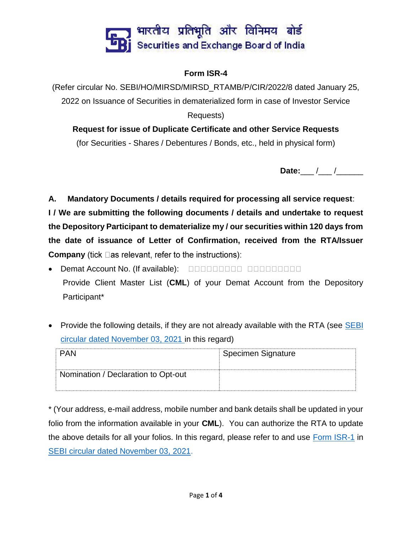

### **Form ISR-4**

(Refer circular No. SEBI/HO/MIRSD/MIRSD\_RTAMB/P/CIR/2022/8 dated January 25, 2022 on Issuance of Securities in dematerialized form in case of Investor Service Requests)

# **Request for issue of Duplicate Certificate and other Service Requests**

(for Securities - Shares / Debentures / Bonds, etc., held in physical form)

**Date:** / /

**A. Mandatory Documents / details required for processing all service request**:

**I / We are submitting the following documents / details and undertake to request the Depository Participant to dematerialize my / our securities within 120 days from the date of issuance of Letter of Confirmation, received from the RTA/Issuer Company** (tick  $\Box$  as relevant, refer to the instructions):

- **Demat Account No. (If available): DEMALLER DEMANDED DEMANDED ON A STATE** Provide Client Master List (**CML**) of your Demat Account from the Depository Participant\*
- Provide the following details, if they are not already available with the RTA (see **SEBI** [circular dated November 03, 2021](https://www.sebi.gov.in/legal/circulars/nov-2021/common-and-simplified-norms-for-processing-investor-s-service-request-by-rtas-and-norms-for-furnishing-pan-kyc-details-and-nomination_53787.html) in this regard)

| PAN                                 | Specimen Signature |
|-------------------------------------|--------------------|
| Nomination / Declaration to Opt-out |                    |
|                                     |                    |

\* (Your address, e-mail address, mobile number and bank details shall be updated in your folio from the information available in your **CML**). You can authorize the RTA to update the above details for all your folios. In this regard, please refer to and use [Form ISR-1](https://www.sebi.gov.in/sebi_data/commondocs/dec-2021/pdf%20Form%20ISR-1%20(1)_p.pdf) in [SEBI circular dated November 03, 2021.](https://www.sebi.gov.in/legal/circulars/nov-2021/common-and-simplified-norms-for-processing-investor-s-service-request-by-rtas-and-norms-for-furnishing-pan-kyc-details-and-nomination_53787.html)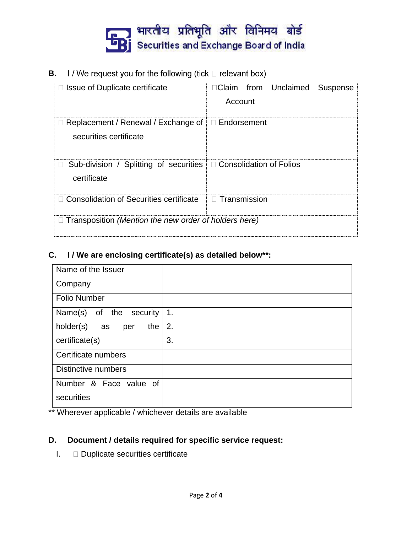

I / We request you for the following (tick  $\Box$  relevant box) **B.**

| Issue of Duplicate certificate                                                    | □Claim from Unclaimed<br><b>Suspense</b><br>Account |  |
|-----------------------------------------------------------------------------------|-----------------------------------------------------|--|
| $\Box$ Replacement / Renewal / Exchange of<br>securities certificate              | $\Box$ Endorsement                                  |  |
| Sub-division / Splitting of securities   □ Consolidation of Folios<br>certificate |                                                     |  |
| □ Consolidation of Securities certificate                                         | $\Box$ Transmission                                 |  |
| $\Box$ Transposition (Mention the new order of holders here)                      |                                                     |  |

## **C. I / We are enclosing certificate(s) as detailed below\*\*:**

| Name of the Issuer         |                |
|----------------------------|----------------|
| Company                    |                |
| <b>Folio Number</b>        |                |
| Name(s) of the security    | $\mathbf{1}$ . |
| holder(s) as<br>the<br>per | 2.             |
| certificate(s)             | 3.             |
| Certificate numbers        |                |
| Distinctive numbers        |                |
| Number & Face value of     |                |
| securities                 |                |

\*\* Wherever applicable / whichever details are available

### **D. Document / details required for specific service request:**

I. Duplicate securities certificate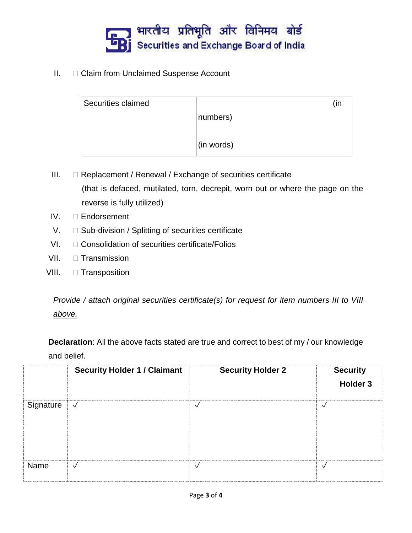

### II. Claim from Unclaimed Suspense Account

|            | (in |
|------------|-----|
| numbers)   |     |
|            |     |
| (in words) |     |
|            |     |

 $III.$   $\Box$  Replacement / Renewal / Exchange of securities certificate (that is defaced, mutilated, torn, decrepit, worn out or where the page on the reverse is fully utilized)

- IV. **Endorsement**
- V.  $\square$  Sub-division / Splitting of securities certificate
- VI.  $\Box$  Consolidation of securities certificate/Folios
- VII. **Transmission**
- VIII. **Transposition**

*Provide / attach original securities certificate(s) for request for item numbers III to VIII above.*

**Declaration**: All the above facts stated are true and correct to best of my / our knowledge and belief.

|           | <b>Security Holder 1 / Claimant</b> | <b>Security Holder 2</b> | <b>Security</b><br>Holder 3 |
|-----------|-------------------------------------|--------------------------|-----------------------------|
| Signature | $\sqrt{}$                           | √                        | $\checkmark$                |
| Name      | √                                   | ✓                        | $\vee$                      |